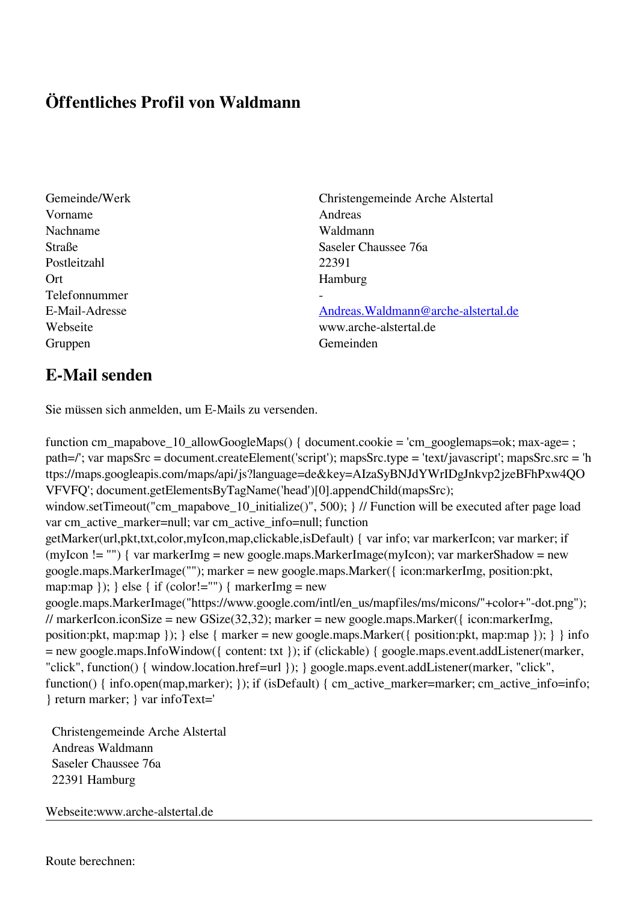## **Öffentliches Profil von Waldmann**

Vorname Andreas Nachname Waldmann Postleitzahl 22391 Ort Hamburg Telefonnummer Gruppen Gemeinden

Gemeinde/Werk Christengemeinde Arche Alstertal Straße Saseler Chaussee 76a

E-Mail-Adresse [Andreas.Waldmann@arche-alstertal.de](mailto:Andreas.Waldmann@arche-alstertal.de) Webseite www.arche-alstertal.de

## **E-Mail senden**

Sie müssen sich anmelden, um E-Mails zu versenden.

function cm\_mapabove\_10\_allowGoogleMaps() { document.cookie = 'cm\_googlemaps=ok; max-age= ; path=/'; var mapsSrc = document.createElement('script'); mapsSrc.type = 'text/javascript'; mapsSrc.src = 'h ttps://maps.googleapis.com/maps/api/js?language=de&key=AIzaSyBNJdYWrIDgJnkvp2jzeBFhPxw4QO VFVFQ'; document.getElementsByTagName('head')[0].appendChild(mapsSrc); window.setTimeout("cm\_mapabove\_10\_initialize()", 500); } // Function will be executed after page load var cm\_active\_marker=null; var cm\_active\_info=null; function getMarker(url,pkt,txt,color,myIcon,map,clickable,isDefault) { var info; var markerIcon; var marker; if (myIcon != "") { var markerImg = new google.maps.MarkerImage(myIcon); var markerShadow = new google.maps.MarkerImage(""); marker = new google.maps.Marker({ icon:markerImg, position:pkt, map:map  $\}$ ;  $\}$  else  $\{$  if (color!="")  $\{$  markerImg = new google.maps.MarkerImage("https://www.google.com/intl/en\_us/mapfiles/ms/micons/"+color+"-dot.png"); // markerIcon.iconSize = new GSize(32,32); marker = new google.maps.Marker({ $i$ con:markerImg, position:pkt, map:map }); } else { marker = new google.maps.Marker({ position:pkt, map:map }); } } info = new google.maps.InfoWindow({ content: txt }); if (clickable) { google.maps.event.addListener(marker, "click", function() { window.location.href=url }); } google.maps.event.addListener(marker, "click", function() { info.open(map,marker); }); if (isDefault) { cm\_active\_marker=marker; cm\_active\_info=info; } return marker; } var infoText='

 Christengemeinde Arche Alstertal Andreas Waldmann Saseler Chaussee 76a 22391 Hamburg

Webseite:www.arche-alstertal.de